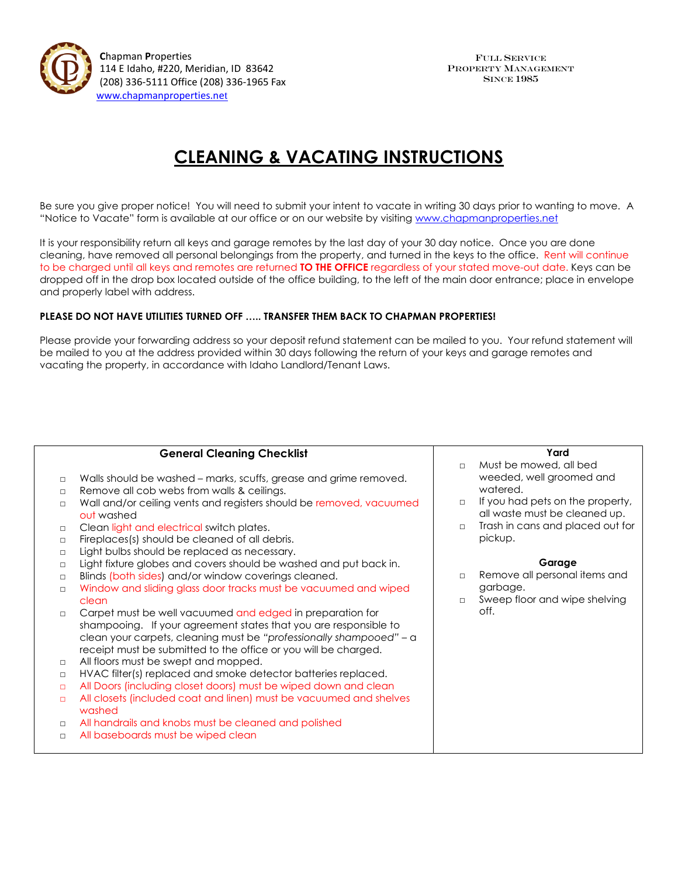

 **C**hapman **P**roperties 114 E Idaho, #220, Meridian, ID 83642 (208) 336-5111 Office (208) 336-1965 Fax [www.chapmanproperties.ne](http://www.chapmanproperties.net/)[t](http://www.chapmanproperties.net/)

## **CLEANING & VACATING INSTRUCTIONS**

Be sure you give proper notice! You will need to submit your intent to vacate in writing 30 days prior to wanting to move. A "Notice to Vacate" form is available at our office or on our website by visiting [www.chapmanproperties.net](http://www.chapmanproperties.net/)

It is your responsibility return all keys and garage remotes by the last day of your 30 day notice. Once you are done cleaning, have removed all personal belongings from the property, and turned in the keys to the office. Rent will continue to be charged until all keys and remotes are returned **TO THE OFFICE** regardless of your stated move-out date. Keys can be dropped off in the drop box located outside of the office building, to the left of the main door entrance; place in envelope and properly label with address.

## **PLEASE DO NOT HAVE UTILITIES TURNED OFF ….. TRANSFER THEM BACK TO CHAPMAN PROPERTIES!**

Please provide your forwarding address so your deposit refund statement can be mailed to you. Your refund statement will be mailed to you at the address provided within 30 days following the return of your keys and garage remotes and vacating the property, in accordance with Idaho Landlord/Tenant Laws.

| <b>General Cleaning Checklist</b> |                                                                                                                                                                                                                                                                         |        | Yard                                                              |  |
|-----------------------------------|-------------------------------------------------------------------------------------------------------------------------------------------------------------------------------------------------------------------------------------------------------------------------|--------|-------------------------------------------------------------------|--|
|                                   |                                                                                                                                                                                                                                                                         | $\Box$ | Must be mowed, all bed                                            |  |
| $\Box$                            | Walls should be washed - marks, scuffs, grease and grime removed.                                                                                                                                                                                                       |        | weeded, well groomed and                                          |  |
| $\Box$                            | Remove all cob webs from walls & ceilings.                                                                                                                                                                                                                              |        | watered.                                                          |  |
| $\Box$                            | Wall and/or ceiling vents and registers should be removed, vacuumed<br>out washed                                                                                                                                                                                       | $\Box$ | If you had pets on the property,<br>all waste must be cleaned up. |  |
| $\Box$                            | Clean light and electrical switch plates.                                                                                                                                                                                                                               | $\Box$ | Trash in cans and placed out for                                  |  |
| $\Box$                            | Fireplaces(s) should be cleaned of all debris.                                                                                                                                                                                                                          |        | pickup.                                                           |  |
| $\Box$                            | Light bulbs should be replaced as necessary.                                                                                                                                                                                                                            |        |                                                                   |  |
| $\Box$                            | Light fixture globes and covers should be washed and put back in.                                                                                                                                                                                                       |        | Garage                                                            |  |
| $\Box$                            | Blinds (both sides) and/or window coverings cleaned.                                                                                                                                                                                                                    | $\Box$ | Remove all personal items and                                     |  |
| $\Box$                            | Window and sliding glass door tracks must be vacuumed and wiped                                                                                                                                                                                                         |        | garbage.                                                          |  |
|                                   | clean                                                                                                                                                                                                                                                                   | $\Box$ | Sweep floor and wipe shelving                                     |  |
| $\Box$                            | Carpet must be well vacuumed and edged in preparation for<br>shampooing. If your agreement states that you are responsible to<br>clean your carpets, cleaning must be "professionally shampooed" - a<br>receipt must be submitted to the office or you will be charged. |        | off.                                                              |  |
| $\Box$                            | All floors must be swept and mopped.                                                                                                                                                                                                                                    |        |                                                                   |  |
| $\Box$                            | HVAC filter(s) replaced and smoke detector batteries replaced.                                                                                                                                                                                                          |        |                                                                   |  |
| $\Box$                            | All Doors (including closet doors) must be wiped down and clean                                                                                                                                                                                                         |        |                                                                   |  |
| $\Box$                            | All closets (included coat and linen) must be vacuumed and shelves<br>washed                                                                                                                                                                                            |        |                                                                   |  |
| $\Box$                            | All handrails and knobs must be cleaned and polished                                                                                                                                                                                                                    |        |                                                                   |  |
| $\Box$                            | All baseboards must be wiped clean                                                                                                                                                                                                                                      |        |                                                                   |  |